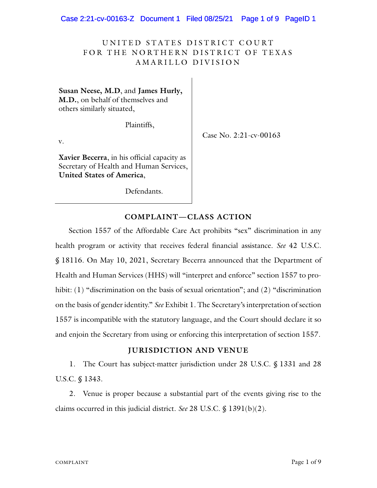Case 2:21-cv-00163-Z Document 1 Filed 08/25/21 Page 1 of 9 PageID 1

# UNITED STATES DISTRICT COURT FOR THE NORTHERN DISTRICT OF TEXAS AMARILLO DIVISION

**Susan Neese, M.D**, and **James Hurly, M.D.**, on behalf of themselves and others similarly situated,

Plaintiffs,

v.

Case No. 2:21-cv-00163

**Xavier Becerra**, in his official capacity as Secretary of Health and Human Services, **United States of America**,

Defendants.

# **COMPLAINT—CLASS ACTION**

Section 1557 of the Affordable Care Act prohibits "sex" discrimination in any health program or activity that receives federal financial assistance. *See* 42 U.S.C. § 18116. On May 10, 2021, Secretary Becerra announced that the Department of Health and Human Services (HHS) will "interpret and enforce" section 1557 to prohibit: (1) "discrimination on the basis of sexual orientation"; and (2) "discrimination on the basis of gender identity." *See* Exhibit 1. The Secretary's interpretation of section 1557 is incompatible with the statutory language, and the Court should declare it so and enjoin the Secretary from using or enforcing this interpretation of section 1557.

### **JURISDICTION AND VENUE**

1. The Court has subject-matter jurisdiction under 28 U.S.C. § 1331 and 28 U.S.C. § 1343.

2. Venue is proper because a substantial part of the events giving rise to the claims occurred in this judicial district. *See* 28 U.S.C. § 1391(b)(2).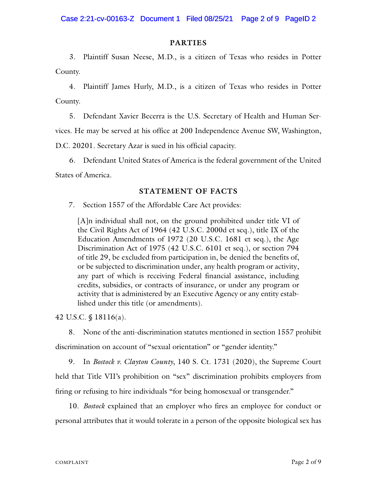### **PARTIES**

3. Plaintiff Susan Neese, M.D., is a citizen of Texas who resides in Potter County.

4. Plaintiff James Hurly, M.D., is a citizen of Texas who resides in Potter County.

5. Defendant Xavier Becerra is the U.S. Secretary of Health and Human Services. He may be served at his office at 200 Independence Avenue SW, Washington, D.C. 20201. Secretary Azar is sued in his official capacity.

6. Defendant United States of America is the federal government of the United States of America.

#### **STATEMENT OF FACTS**

7. Section 1557 of the Affordable Care Act provides:

[A]n individual shall not, on the ground prohibited under title VI of the Civil Rights Act of 1964 (42 U.S.C. 2000d et seq.), title IX of the Education Amendments of 1972 (20 U.S.C. 1681 et seq.), the Age Discrimination Act of 1975 (42 U.S.C. 6101 et seq.), or section 794 of title 29, be excluded from participation in, be denied the benefits of, or be subjected to discrimination under, any health program or activity, any part of which is receiving Federal financial assistance, including credits, subsidies, or contracts of insurance, or under any program or activity that is administered by an Executive Agency or any entity established under this title (or amendments).

42 U.S.C. § 18116(a).

8. None of the anti-discrimination statutes mentioned in section 1557 prohibit discrimination on account of "sexual orientation" or "gender identity."

9. In *Bostock v. Clayton County*, 140 S. Ct. 1731 (2020), the Supreme Court held that Title VII's prohibition on "sex" discrimination prohibits employers from firing or refusing to hire individuals "for being homosexual or transgender."

10. *Bostock* explained that an employer who fires an employee for conduct or personal attributes that it would tolerate in a person of the opposite biological sex has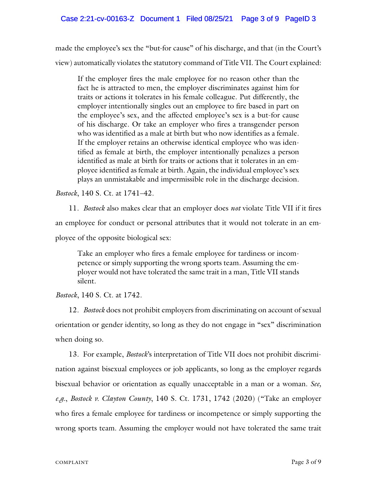made the employee's sex the "but-for cause" of his discharge, and that (in the Court's view) automatically violates the statutory command of Title VII. The Court explained:

If the employer fires the male employee for no reason other than the fact he is attracted to men, the employer discriminates against him for traits or actions it tolerates in his female colleague. Put differently, the employer intentionally singles out an employee to fire based in part on the employee's sex, and the affected employee's sex is a but-for cause of his discharge. Or take an employer who fires a transgender person who was identified as a male at birth but who now identifies as a female. If the employer retains an otherwise identical employee who was identified as female at birth, the employer intentionally penalizes a person identified as male at birth for traits or actions that it tolerates in an employee identified as female at birth. Again, the individual employee's sex plays an unmistakable and impermissible role in the discharge decision.

*Bostock*, 140 S. Ct. at 1741–42.

11. *Bostock* also makes clear that an employer does *not* violate Title VII if it fires an employee for conduct or personal attributes that it would not tolerate in an employee of the opposite biological sex:

Take an employer who fires a female employee for tardiness or incompetence or simply supporting the wrong sports team. Assuming the employer would not have tolerated the same trait in a man, Title VII stands silent.

*Bostock*, 140 S. Ct. at 1742.

12. *Bostock* does not prohibit employers from discriminating on account of sexual orientation or gender identity, so long as they do not engage in "sex" discrimination when doing so.

13. For example, *Bostock*'s interpretation of Title VII does not prohibit discrimination against bisexual employees or job applicants, so long as the employer regards bisexual behavior or orientation as equally unacceptable in a man or a woman. *See, e.g.*, *Bostock v. Clayton County*, 140 S. Ct. 1731, 1742 (2020) ("Take an employer who fires a female employee for tardiness or incompetence or simply supporting the wrong sports team. Assuming the employer would not have tolerated the same trait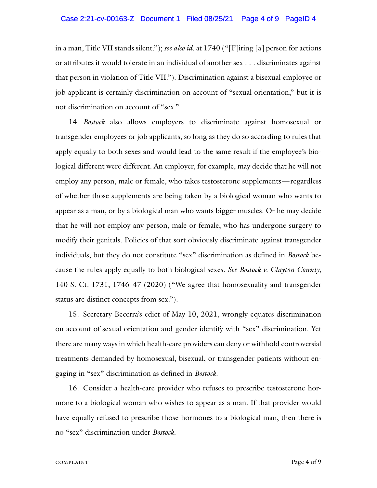#### Case 2:21-cv-00163-Z Document 1 Filed 08/25/21 Page 4 of 9 PageID 4

in a man, Title VII stands silent."); *see also id.* at 1740 ("[F]iring [a] person for actions or attributes it would tolerate in an individual of another sex . . . discriminates against that person in violation of Title VII."). Discrimination against a bisexual employee or job applicant is certainly discrimination on account of "sexual orientation," but it is not discrimination on account of "sex."

14. *Bostock* also allows employers to discriminate against homosexual or transgender employees or job applicants, so long as they do so according to rules that apply equally to both sexes and would lead to the same result if the employee's biological different were different. An employer, for example, may decide that he will not employ any person, male or female, who takes testosterone supplements—regardless of whether those supplements are being taken by a biological woman who wants to appear as a man, or by a biological man who wants bigger muscles. Or he may decide that he will not employ any person, male or female, who has undergone surgery to modify their genitals. Policies of that sort obviously discriminate against transgender individuals, but they do not constitute "sex" discrimination as defined in *Bostock* because the rules apply equally to both biological sexes. *See Bostock v. Clayton County*, 140 S. Ct. 1731, 1746–47 (2020) ("We agree that homosexuality and transgender status are distinct concepts from sex.").

15. Secretary Becerra's edict of May 10, 2021, wrongly equates discrimination on account of sexual orientation and gender identify with "sex" discrimination. Yet there are many ways in which health-care providers can deny or withhold controversial treatments demanded by homosexual, bisexual, or transgender patients without engaging in "sex" discrimination as defined in *Bostock*.

16. Consider a health-care provider who refuses to prescribe testosterone hormone to a biological woman who wishes to appear as a man. If that provider would have equally refused to prescribe those hormones to a biological man, then there is no "sex" discrimination under *Bostock.*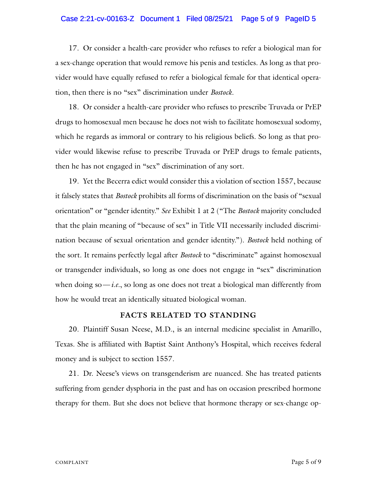#### Case 2:21-cv-00163-Z Document 1 Filed 08/25/21 Page 5 of 9 PageID 5

17. Or consider a health-care provider who refuses to refer a biological man for a sex-change operation that would remove his penis and testicles. As long as that provider would have equally refused to refer a biological female for that identical operation, then there is no "sex" discrimination under *Bostock*.

18. Or consider a health-care provider who refuses to prescribe Truvada or PrEP drugs to homosexual men because he does not wish to facilitate homosexual sodomy, which he regards as immoral or contrary to his religious beliefs. So long as that provider would likewise refuse to prescribe Truvada or PrEP drugs to female patients, then he has not engaged in "sex" discrimination of any sort.

19. Yet the Becerra edict would consider this a violation of section 1557, because it falsely states that *Bostock* prohibits all forms of discrimination on the basis of "sexual orientation" or "gender identity." *See* Exhibit 1 at 2 ("The *Bostock* majority concluded that the plain meaning of "because of sex" in Title VII necessarily included discrimination because of sexual orientation and gender identity."). *Bostock* held nothing of the sort. It remains perfectly legal after *Bostock* to "discriminate" against homosexual or transgender individuals, so long as one does not engage in "sex" discrimination when doing  $so$ —*i.e.*, so long as one does not treat a biological man differently from how he would treat an identically situated biological woman.

### **FACTS RELATED TO STANDING**

20. Plaintiff Susan Neese, M.D., is an internal medicine specialist in Amarillo, Texas. She is affiliated with Baptist Saint Anthony's Hospital, which receives federal money and is subject to section 1557.

21. Dr. Neese's views on transgenderism are nuanced. She has treated patients suffering from gender dysphoria in the past and has on occasion prescribed hormone therapy for them. But she does not believe that hormone therapy or sex-change op-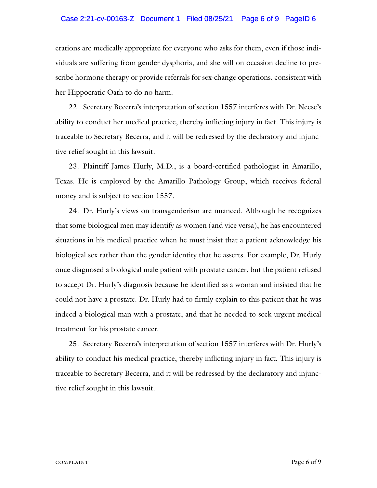#### Case 2:21-cv-00163-Z Document 1 Filed 08/25/21 Page 6 of 9 PageID 6

erations are medically appropriate for everyone who asks for them, even if those individuals are suffering from gender dysphoria, and she will on occasion decline to prescribe hormone therapy or provide referrals for sex-change operations, consistent with her Hippocratic Oath to do no harm.

22. Secretary Becerra's interpretation of section 1557 interferes with Dr. Neese's ability to conduct her medical practice, thereby inflicting injury in fact. This injury is traceable to Secretary Becerra, and it will be redressed by the declaratory and injunctive relief sought in this lawsuit.

23. Plaintiff James Hurly, M.D., is a board-certified pathologist in Amarillo, Texas. He is employed by the Amarillo Pathology Group, which receives federal money and is subject to section 1557.

24. Dr. Hurly's views on transgenderism are nuanced. Although he recognizes that some biological men may identify as women (and vice versa), he has encountered situations in his medical practice when he must insist that a patient acknowledge his biological sex rather than the gender identity that he asserts. For example, Dr. Hurly once diagnosed a biological male patient with prostate cancer, but the patient refused to accept Dr. Hurly's diagnosis because he identified as a woman and insisted that he could not have a prostate. Dr. Hurly had to firmly explain to this patient that he was indeed a biological man with a prostate, and that he needed to seek urgent medical treatment for his prostate cancer.

25. Secretary Becerra's interpretation of section 1557 interferes with Dr. Hurly's ability to conduct his medical practice, thereby inflicting injury in fact. This injury is traceable to Secretary Becerra, and it will be redressed by the declaratory and injunctive relief sought in this lawsuit.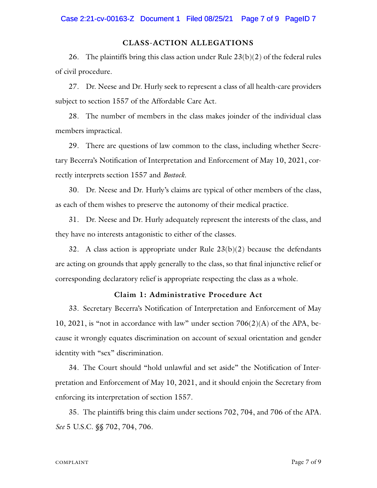#### **CLASS-ACTION ALLEGATIONS**

26. The plaintiffs bring this class action under Rule  $23(b)(2)$  of the federal rules of civil procedure.

27. Dr. Neese and Dr. Hurly seek to represent a class of all health-care providers subject to section 1557 of the Affordable Care Act.

28. The number of members in the class makes joinder of the individual class members impractical.

29. There are questions of law common to the class, including whether Secretary Becerra's Notification of Interpretation and Enforcement of May 10, 2021, correctly interprets section 1557 and *Bostock*.

30. Dr. Neese and Dr. Hurly's claims are typical of other members of the class, as each of them wishes to preserve the autonomy of their medical practice.

31. Dr. Neese and Dr. Hurly adequately represent the interests of the class, and they have no interests antagonistic to either of the classes.

32. A class action is appropriate under Rule  $23(b)(2)$  because the defendants are acting on grounds that apply generally to the class, so that final injunctive relief or corresponding declaratory relief is appropriate respecting the class as a whole.

## **Claim 1: Administrative Procedure Act**

33. Secretary Becerra's Notification of Interpretation and Enforcement of May 10, 2021, is "not in accordance with law" under section  $706(2)(A)$  of the APA, because it wrongly equates discrimination on account of sexual orientation and gender identity with "sex" discrimination.

34. The Court should "hold unlawful and set aside" the Notification of Interpretation and Enforcement of May 10, 2021, and it should enjoin the Secretary from enforcing its interpretation of section 1557.

35. The plaintiffs bring this claim under sections 702, 704, and 706 of the APA. *See* 5 U.S.C. §§ 702, 704, 706.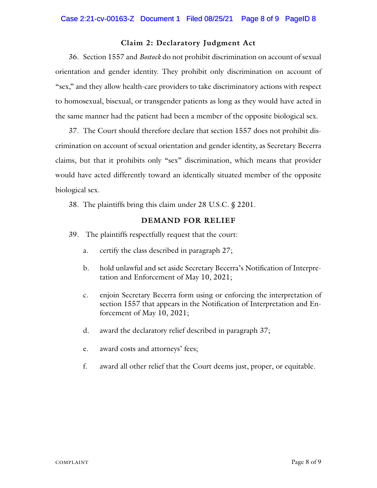### **Claim 2: Declaratory Judgment Act**

36. Section 1557 and *Bostock* do not prohibit discrimination on account of sexual orientation and gender identity. They prohibit only discrimination on account of "sex," and they allow health-care providers to take discriminatory actions with respect to homosexual, bisexual, or transgender patients as long as they would have acted in the same manner had the patient had been a member of the opposite biological sex.

37. The Court should therefore declare that section 1557 does not prohibit discrimination on account of sexual orientation and gender identity, as Secretary Becerra claims, but that it prohibits only "sex" discrimination, which means that provider would have acted differently toward an identically situated member of the opposite biological sex.

38. The plaintiffs bring this claim under 28 U.S.C. § 2201.

### **DEMAND FOR RELIEF**

- 39. The plaintiffs respectfully request that the court:
	- a. certify the class described in paragraph 27;
	- b. hold unlawful and set aside Secretary Becerra's Notification of Interpretation and Enforcement of May 10, 2021;
	- c. enjoin Secretary Becerra form using or enforcing the interpretation of section 1557 that appears in the Notification of Interpretation and Enforcement of May 10, 2021;
	- d. award the declaratory relief described in paragraph 37;
	- e. award costs and attorneys' fees;
	- f. award all other relief that the Court deems just, proper, or equitable.